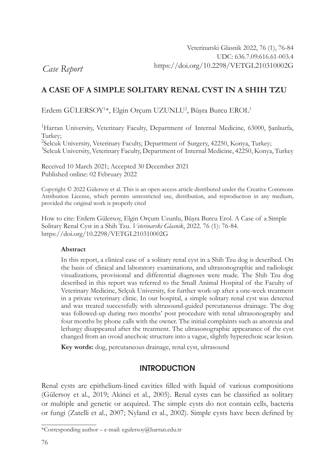*Case Report*

# **A CASE OF A SIMPLE SOLITARY RENAL CYST IN A SHIH TZU**

Erdem GÜLERSOY1 \*, Elgin Orçum UZUNLU2 , Büşra Burcu EROL<sup>3</sup>

<sup>1</sup>Harran University, Veterinary Faculty, Department of Internal Medicine, 63000, Şanlıurfa, Turkey;

<sup>2</sup>Selcuk University, Veterinary Faculty, Department of Surgery, 42250, Konya, Turkey; <sup>3</sup>Selcuk University, Veterinary Faculty, Department of Internal Medicine, 42250, Konya, Turkey

Received 10 March 2021; Accepted 30 December 2021 Published online: 02 February 2022

Copyright © 2022 Gülersoy et al. This is an open-access article distributed under the Creative Commons Attribution License, which permits unrestricted use, distribution, and reproduction in any medium, provided the original work is properly cited

How to cite: Erdem Gülersoy, Elgin Orçum Uzunlu, Büşra Burcu Erol. A Case of a Simple Solitary Renal Cyst in a Shih Tzu. *Veterinarski Glasnik*, 2022. 76 (1): 76-84. https://doi.org/10.2298/VETGL210310002G

#### **Abstract**

In this report, a clinical case of a solitary renal cyst in a Shih Tzu dog is described. On the basis of clinical and laboratory examinations, and ultrasonographic and radiologic visualizations, provisional and differential diagnoses were made. The Shih Tzu dog described in this report was referred to the Small Animal Hospital of the Faculty of Veterinary Medicine, Selçuk University, for further work-up after a one-week treatment in a private veterinary clinic. In our hospital, a simple solitary renal cyst was detected and was treated successfully with ultrasound-guided percutaneous drainage. The dog was followed-up during two months' post procedure with renal ultrasonography and four months by phone calls with the owner. The initial complaints such as anorexia and lethargy disappeared after the treatment. The ultrasonographic appearance of the cyst changed from an ovoid anechoic structure into a vague, slightly hyperechoic scar lesion.

**Key words:** dog, percutaneous drainage, renal cyst, ultrasound

## **INTRODUCTION**

Renal cysts are epithelium-lined cavities filled with liquid of various compositions (Gülersoy et al., 2019; Akinci et al., 2005). Renal cysts can be classified as solitary or multiple and genetic or acquired. The simple cysts do not contain cells, bacteria or fungi (Zatelli et al., 2007; Nyland et al., 2002). Simple cysts have been defined by

<sup>\*</sup>Corresponding author – e-mail: egulersoy@harran.edu.tr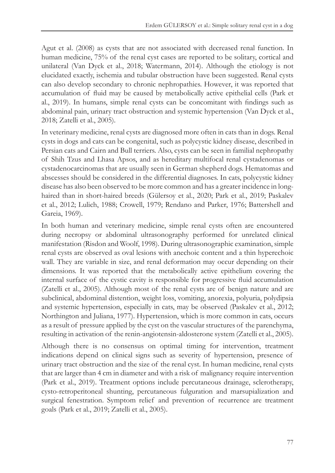Agut et al. (2008) as cysts that are not associated with decreased renal function. In human medicine, 75% of the renal cyst cases are reported to be solitary, cortical and unilateral (Van Dyck et al., 2018; Watermann, 2014). Although the etiology is not elucidated exactly, ischemia and tubular obstruction have been suggested. Renal cysts can also develop secondary to chronic nephropathies. However, it was reported that accumulation of fluid may be caused by metabolically active epithelial cells (Park et al., 2019). In humans, simple renal cysts can be concomitant with findings such as abdominal pain, urinary tract obstruction and systemic hypertension (Van Dyck et al., 2018; Zatelli et al., 2005).

In veterinary medicine, renal cysts are diagnosed more often in cats than in dogs. Renal cysts in dogs and cats can be congenital, such as polycystic kidney disease, described in Persian cats and Cairn and Bull terriers. Also, cysts can be seen in familial nephropathy of Shih Tzus and Lhasa Apsos, and as hereditary multifocal renal cystadenomas or cystadenocarcinomas that are usually seen in German shepherd dogs. Hematomas and abscesses should be considered in the differential diagnoses. In cats, polycystic kidney disease has also been observed to be more common and has a greater incidence in longhaired than in short-haired breeds (Gülersoy et al., 2020; Park et al., 2019; Paskalev et al., 2012; Lulich, 1988; Crowell, 1979; Rendano and Parker, 1976; Battershell and Gareia, 1969).

In both human and veterinary medicine, simple renal cysts often are encountered during necropsy or abdominal ultrasonography performed for unrelated clinical manifestation (Risdon and Woolf, 1998). During ultrasonographic examination, simple renal cysts are observed as oval lesions with anechoic content and a thin hyperechoic wall. They are variable in size, and renal deformation may occur depending on their dimensions. It was reported that the metabolically active epithelium covering the internal surface of the cystic cavity is responsible for progressive fluid accumulation (Zatelli et al., 2005). Although most of the renal cysts are of benign nature and are subclinical, abdominal distention, weight loss, vomiting, anorexia, polyuria, polydipsia and systemic hypertension, especially in cats, may be observed (Paskalev et al., 2012; Northington and Juliana, 1977). Hypertension, which is more common in cats, occurs as a result of pressure applied by the cyst on the vascular structures of the parenchyma, resulting in activation of the renin-angiotensin-aldosterone system (Zatelli et al., 2005).

Although there is no consensus on optimal timing for intervention, treatment indications depend on clinical signs such as severity of hypertension, presence of urinary tract obstruction and the size of the renal cyst. In human medicine, renal cysts that are larger than 4 cm in diameter and with a risk of malignancy require intervention (Park et al., 2019). Treatment options include percutaneous drainage, sclerotherapy, cysto-retroperitoneal shunting, percutaneous fulguration and marsupialization and surgical fenestration. Symptom relief and prevention of recurrence are treatment goals (Park et al., 2019; Zatelli et al., 2005).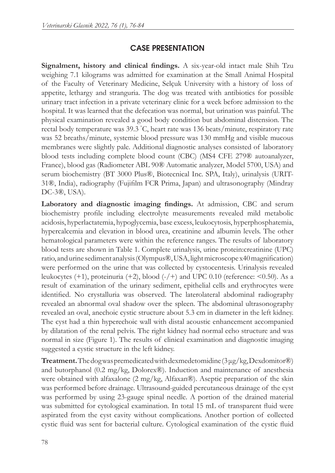# CASE PRESENTATION

**Signalment, history and clinical findings.** A six-year-old intact male Shih Tzu weighing 7.1 kilograms was admitted for examination at the Small Animal Hospital of the Faculty of Veterinary Medicine, Selçuk University with a history of loss of appetite, lethargy and stranguria. The dog was treated with antibiotics for possible urinary tract infection in a private veterinary clinic for a week before admission to the hospital. It was learned that the defecation was normal, but urination was painful. The physical examination revealed a good body condition but abdominal distension. The rectal body temperature was 39.3 ° С, heart rate was 136 beats/minute, respiratory rate was 52 breaths/minute, systemic blood pressure was 130 mmHg and visible mucous membranes were slightly pale. Additional diagnostic analyses consisted of laboratory blood tests including complete blood count (CBC) (MS4 CFE 279® autoanalyzer, France), blood gas (Radiometer ABL 90® Automatic analyzer, Model 5700, USA) and serum biochemistry (BT 3000 Plus®, Biotecnical Inc. SPA, Italy), urinalysis (URIT-31®, India), radiography (Fujifilm FCR Prima, Japan) and ultrasonography (Mindray DC-3®, USA).

**Laboratory and diagnostic imaging findings.** At admission, CBC and serum biochemistry profile including electrolyte measurements revealed mild metabolic acidosis, hyperlactatemia, hypoglycemia, base excess, leukocytosis, hyperphosphatemia, hypercalcemia and elevation in blood urea, creatinine and albumin levels. The other hematological parameters were within the reference ranges. The results of laboratory blood tests are shown in Table 1. Complete urinalysis, urine protein:creatinine (UPC) ratio, and urine sediment analysis (Olympus®, USA, light microscope x40 magnification) were performed on the urine that was collected by cystocentesis. Urinalysis revealed leukocytes  $(+1)$ , proteinuria  $(+2)$ , blood  $(-/+)$  and UPC 0.10 (reference:  $\leq 0.50$ ). As a result of examination of the urinary sediment, epithelial cells and erythrocytes were identified. No crystalluria was observed. The laterolateral abdominal radiography revealed an abnormal oval shadow over the spleen. The abdominal ultrasonography revealed an oval, anechoic cystic structure about 5.3 cm in diameter in the left kidney. The cyst had a thin hyperechoic wall with distal acoustic enhancement accompanied by dilatation of the renal pelvis. The right kidney had normal echo structure and was normal in size (Figure 1). The results of clinical examination and diagnostic imaging suggested a cystic structure in the left kidney.

**Treatment.** The dog was premedicated with dexmedetomidine (3 μg/kg, Dexdomitor®) and butorphanol (0.2 mg/kg, Dolorex®). Induction and maintenance of anesthesia were obtained with alfaxalone (2 mg/kg, Alfaxan®). Aseptic preparation of the skin was performed before drainage. Ultrasound-guided percutaneous drainage of the cyst was performed by using 23-gauge spinal needle. A portion of the drained material was submitted for cytological examination. In total 15 mL of transparent fluid were aspirated from the cyst cavity without complications. Another portion of collected cystic fluid was sent for bacterial culture. Cytological examination of the cystic fluid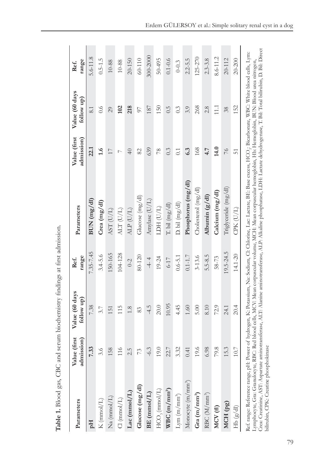| Parameters                             | Value (first<br>admission) | Value (60 days<br>follow up) | range<br>Ref. | Parameters                                                                                                                                                                                                                                                                                                                                                                                                                                                                                                                      | Value (first<br>admission) | Value (60 days<br>follow up) | range<br>Ref. |
|----------------------------------------|----------------------------|------------------------------|---------------|---------------------------------------------------------------------------------------------------------------------------------------------------------------------------------------------------------------------------------------------------------------------------------------------------------------------------------------------------------------------------------------------------------------------------------------------------------------------------------------------------------------------------------|----------------------------|------------------------------|---------------|
| Hq                                     | 7.33                       | 7.38                         | 7.35-7.45     | BUN(mg/dl)                                                                                                                                                                                                                                                                                                                                                                                                                                                                                                                      | 22.1                       | 8.1                          | $5.6 - 11.8$  |
| $\mathbf K$ (mmol/L)                   | 3.6                        | 3.7                          | $3.4 - 5.6$   | Crea (mg/dl)                                                                                                                                                                                                                                                                                                                                                                                                                                                                                                                    | 1.6                        | 0.6                          | $0.5 - 1.5$   |
| $Na \pmod{L}$                          | 158                        | 151                          | 150-165       | AST (U/L)                                                                                                                                                                                                                                                                                                                                                                                                                                                                                                                       | 17                         | 29                           | 10-88         |
| $Cl (mmol/L)$                          | 116                        | 115                          | 104-128       | ALT (U/L)                                                                                                                                                                                                                                                                                                                                                                                                                                                                                                                       | $\overline{ }$             | 102                          | 10-88         |
| $Lac$ (mmol/L)                         | 2.5                        | 1.8                          | $0-2$         | ALP (U/L)                                                                                                                                                                                                                                                                                                                                                                                                                                                                                                                       | $\overline{40}$            | 218                          | $20 - 150$    |
| Glucose (mg/dl)                        | 73                         | 83                           | 80-120        | Glucose $(mg/dl)$                                                                                                                                                                                                                                                                                                                                                                                                                                                                                                               | 82                         | 97                           | $60 - 110$    |
| BE (mmol/L)                            | $-6.3$                     | $-4.5$                       | $-4 - 4$      | Amylase (U/L)                                                                                                                                                                                                                                                                                                                                                                                                                                                                                                                   | 639                        | 187                          | 300-2000      |
| $HCO_3$ (mmol/L)                       | 19.0                       | 20.0                         | 19-24         | LDH (U/L)                                                                                                                                                                                                                                                                                                                                                                                                                                                                                                                       | 78                         | 150                          | $50 - 495$    |
| $WBC(m/mm^3)$                          | 22.7                       | 10.95                        | $6 - 17$      | T. bil $(mg/dl)$                                                                                                                                                                                                                                                                                                                                                                                                                                                                                                                | 0.3                        | 0.5                          | $0.1 - 0.6$   |
| ${\rm Lym\ (m/mm^3)}$                  | 3.32                       | 4.45                         | $0.6 - 5.1$   | $D.$ bil $(mg/dl)$                                                                                                                                                                                                                                                                                                                                                                                                                                                                                                              | $\overline{0}$ :           | 0.3                          | $0 - 0.3$     |
| Monocyte (m/mm <sup>3</sup> )          | 0.41                       | 1.60                         | $0.1 - 1.7$   | Phosphorus (mg/dl)                                                                                                                                                                                                                                                                                                                                                                                                                                                                                                              | 6.3                        | 3.9                          | $2.2 - 5.5$   |
| Gra $(m/mm^3)$                         | 19.6                       | 5.00                         | $3 - 13.6$    | Cholesterol (mg/dl)                                                                                                                                                                                                                                                                                                                                                                                                                                                                                                             | 168                        | 268                          | 125-270       |
| RBC (M/mm <sup>3</sup> )               | 6.98                       | 8.10                         | $5.5 - 8.5$   | Albumin $(g/dl)$                                                                                                                                                                                                                                                                                                                                                                                                                                                                                                                | 4.7                        | 2.8                          | $2.3 - 3.8$   |
| MCV(fl)                                | 79.8                       | 72.9                         | 58-73         | Calcium (mg/dl)                                                                                                                                                                                                                                                                                                                                                                                                                                                                                                                 | 14.0                       | $\overline{111}$             | 8.6-11.2      |
| MCH <sub>(pg)</sub>                    | 15.3                       | 24.1                         | 19.5-24.5     | Triglyceride (mg/dl)                                                                                                                                                                                                                                                                                                                                                                                                                                                                                                            | $\frac{9}{2}$              | 38                           | $20 - 112$    |
| Hb(g/dl)                               | 10.7                       | 20.4                         | $14.1 - 20$   | CPK (U/L)                                                                                                                                                                                                                                                                                                                                                                                                                                                                                                                       | 51                         | 152                          | $20 - 200$    |
| bilirubin, CPK: Creatine phosphokinase |                            |                              |               | Crea: Creatinine, AST: Aspartate aminotransferase, ALT: Alanine aminotransferase, ALP: Alkaline phosphatase, LDH: Lactate dehydrogenase, T. Bil: Total bilirubin, D. Bil: Direct<br>Ref. range: Reference range, pH: Power of hydrogen, K: Potassium, Na: Sodium, Cl: Chlorine, Lac: Lactate, BE: Base excess, HCO;: Bicarbonate, WBC: White blood cells, Lym:<br>Lymphocyte, Gra: Granulocyte, RBC: Red blood cells, MCV: Mean corpuscular volume, MCH: Mean corpuscular hemoglobin, Hb: Hemoglobin, BUN: Blood urea nirtogen, |                            |                              |               |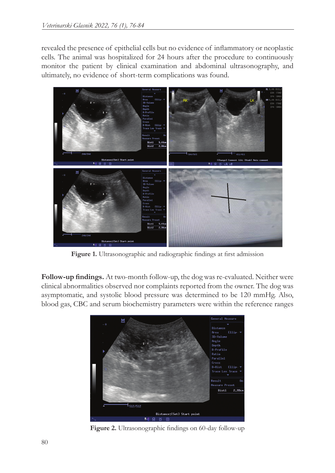revealed the presence of epithelial cells but no evidence of inflammatory or neoplastic cells. The animal was hospitalized for 24 hours after the procedure to continuously monitor the patient by clinical examination and abdominal ultrasonography, and ultimately, no evidence of short-term complications was found.



**Figure 1.** Ultrasonographic and radiographic findings at first admission

**Follow-up findings.** At two-month follow-up, the dog was re-evaluated. Neither were clinical abnormalities observed nor complaints reported from the owner. The dog was asymptomatic, and systolic blood pressure was determined to be 120 mmHg. Also, blood gas, CBC and serum biochemistry parameters were within the reference ranges



**Figure 2.** Ultrasonographic findings on 60-day follow-up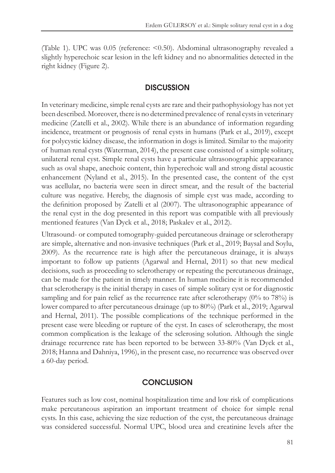(Table 1). UPC was 0.05 (reference: <0.50). Abdominal ultrasonography revealed a slightly hyperechoic scar lesion in the left kidney and no abnormalities detected in the right kidney (Figure 2).

#### **DISCUSSION**

In veterinary medicine, simple renal cysts are rare and their pathophysiology has not yet been described. Moreover, there is no determined prevalence of renal cysts in veterinary medicine (Zatelli et al., 2002). While there is an abundance of information regarding incidence, treatment or prognosis of renal cysts in humans (Park et al., 2019), except for polycystic kidney disease, the information in dogs is limited. Similar to the majority of human renal cysts (Waterman, 2014), the present case consisted of a simple solitary, unilateral renal cyst. Simple renal cysts have a particular ultrasonographic appearance such as oval shape, anechoic content, thin hyperechoic wall and strong distal acoustic enhancement (Nyland et al., 2015). In the presented case, the content of the cyst was acellular, no bacteria were seen in direct smear, and the result of the bacterial culture was negative. Hereby, the diagnosis of simple cyst was made, according to the definition proposed by Zatelli et al (2007). The ultrasonographic appearance of the renal cyst in the dog presented in this report was compatible with all previously mentioned features (Van Dyck et al., 2018; Paskalev et al., 2012).

Ultrasound- or computed tomography-guided percutaneous drainage or sclerotherapy are simple, alternative and non-invasive techniques (Park et al., 2019; Baysal and Soylu, 2009). As the recurrence rate is high after the percutaneous drainage, it is always important to follow up patients (Agarwal and Hernal, 2011) so that new medical decisions, such as proceeding to sclerotherapy or repeating the percutaneous drainage, can be made for the patient in timely manner. In human medicine it is recommended that sclerotherapy is the initial therapy in cases of simple solitary cyst or for diagnostic sampling and for pain relief as the recurrence rate after sclerotherapy (0% to 78%) is lower compared to after percutaneous drainage (up to 80%) (Park et al., 2019; Agarwal and Hernal, 2011). The possible complications of the technique performed in the present case were bleeding or rupture of the cyst. In cases of sclerotherapy, the most common complication is the leakage of the sclerosing solution. Although the single drainage recurrence rate has been reported to be between 33-80% (Van Dyck et al., 2018; Hanna and Dahniya, 1996), in the present case, no recurrence was observed over a 60-day period.

### **CONCLUSION**

Features such as low cost, nominal hospitalization time and low risk of complications make percutaneous aspiration an important treatment of choice for simple renal cysts. In this case, achieving the size reduction of the cyst, the percutaneous drainage was considered successful. Normal UPC, blood urea and creatinine levels after the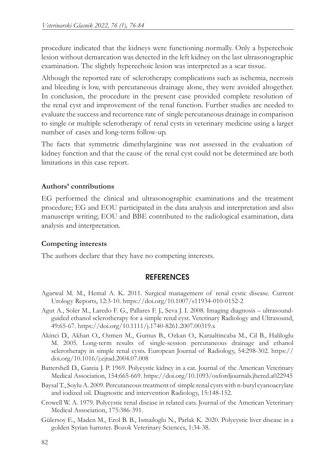procedure indicated that the kidneys were functioning normally. Only a hyperechoic lesion without demarcation was detected in the left kidney on the last ultrasonographic examination. The slightly hyperechoic lesion was interpreted as a scar tissue.

Although the reported rate of sclerotherapy complications such as ischemia, necrosis and bleeding is low, with percutaneous drainage alone, they were avoided altogether. In conclusion, the procedure in the present case provided complete resolution of the renal cyst and improvement of the renal function. Further studies are needed to evaluate the success and recurrence rate of single percutaneous drainage in comparison to single or multiple sclerotherapy of renal cysts in veterinary medicine using a larger number of cases and long-term follow-up.

The facts that symmetric dimethylarginine was not assessed in the evaluation of kidney function and that the cause of the renal cyst could not be determined are both limitations in this case report.

## **Authors' contributions**

EG performed the clinical and ultrasonographic examinations and the treatment procedure; EG and EOU participated in the data analysis and interpretation and also manuscript writing; EOU and BBE contributed to the radiological examination, data analysis and interpretation.

## **Competing interests**

The authors declare that they have no competing interests.

## **REFERENCES**

- Agarwal M. M., Hemal A. K. 2011. Surgical management of renal cystic disease. Current Urology Reports, 12:3-10. https://doi.org/10.1007/s11934-010-0152-2
- Agut A., Soler M., Laredo F. G., Pallares F. J., Seva J. I. 2008. Imaging diagnosis ultrasoundguided ethanol sclerotherapy for a simple renal cyst. Veterinary Radiology and Ultrasound, 49:65-67. https://doi.org/10.1111/j.1740-8261.2007.00319.x
- Akinci D., Akhan O., Ozmen M., Gumus B., Ozkan O., Karaaltincaba M., Cil B., Haliloglu M. 2005. Long-term results of single-session percutaneous drainage and ethanol sclerotherapy in simple renal cysts. European Journal of Radiology, 54:298-302. https:// doi.org/10.1016/j.ejrad.2004.07.008

Battershell D., Gareia J. P. 1969. Polycystic kidney in a cat. Journal of the American Veterinary Medical Association, 154:665-669. https://doi.org/10.1093/oxfordjournals.jhered.a022945

- Baysal T., Soylu A. 2009. Percutaneous treatment of simple renal cysts with n-butyl cyanoacrylate and iodized oil. Diagnostic and intervention Radiology, 15:148-152.
- Crowell W. A. 1979. Polycystic renal disease in related cats. Journal of the American Veterinary Medical Association, 175:386-391.
- Gülersoy E., Maden M., Erol B. B., Ismailoglu N., Parlak K. 2020. Polycystic liver disease in a golden Syrian hamster. Bozok Veterinary Sciences, 1:34-38.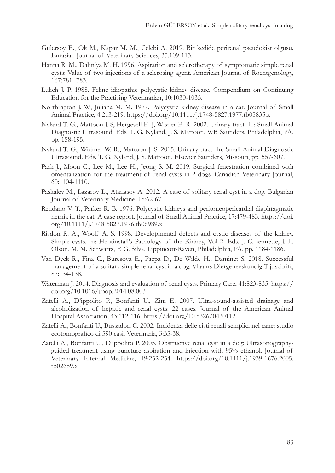- Gülersoy E., Ok M., Kapar M. M., Celebi A. 2019. Bir kedide perirenal pseudokist olgusu. Eurasian Journal of Veterinary Sciences, 35:109-113.
- Hanna R. M., Dahniya M. H. 1996. Aspiration and sclerotherapy of symptomatic simple renal cysts: Value of two injections of a sclerosing agent. American Journal of Roentgenology, 167:781- 783.
- Lulich J. P. 1988. Feline idiopathic polycystic kidney disease. Compendium on Continuing Education for the Practising Veterinarian, 10:1030-1035.
- Northington J. W., Juliana M. M. 1977. Polycystic kidney disease in a cat. Journal of Small Animal Practice, 4:213-219. https://doi.org/10.1111/j.1748-5827.1977.tb05835.x
- Nyland T. G., Mattoon J. S, Hergesell E. J, Wisner E. R. 2002. Urinary tract. In: Small Animal Diagnostic Ultrasound. Eds. T. G. Nyland, J. S. Mattoon, WB Saunders, Philadelphia, PA, pp. 158-195.
- Nyland T. G., Widmer W. R., Mattoon J. S. 2015. Urinary tract. In: Small Animal Diagnostic Ultrasound. Eds. T. G. Nyland, J. S. Mattoon, Elsevier Saunders, Missouri, pp. 557-607.
- Park J., Moon C., Lee M., Lee H., Jeong S. M. 2019. Surgical fenestration combined with omentalization for the treatment of renal cysts in 2 dogs. Canadian Veterinary Journal, 60:1104-1110.
- Paskalev M., Lazarov L., Atanasoy A. 2012. A case of solitary renal cyst in a dog. Bulgarian Journal of Veterinary Medicine, 15:62-67.
- Rendano V. T., Parker R. B. 1976. Polycystic kidneys and peritoneopericardial diaphragmatic hernia in the cat: A case report. Journal of Small Animal Practice, 17:479-483. https://doi. org/10.1111/j.1748-5827.1976.tb06989.x
- Risdon R. A., Woolf A. S. 1998. Developmental defects and cystic diseases of the kidney. Simple cysts. In: Heptinstall's Pathology of the Kidney, Vol 2. Eds. J. C. Jennette, J. L. Olson, M. M. Schwartz, F. G. Silva, Lippincott-Raven, Philadelphia, PA, pp. 1184-1186.
- Van Dyck R., Fina C., Buresova E., Paepa D., De Wilde H., Daminet S. 2018. Successful management of a solitary simple renal cyst in a dog. Vlaams Diergeneeskundig Tijdschrift, 87:134-138.
- Waterman J. 2014. Diagnosis and evaluation of renal cysts. Primary Care, 41:823-835. https:// doi.org/10.1016/j.pop.2014.08.003
- Zatelli A., D'ippolito P., Bonfanti U., Zini E. 2007. Ultra-sound-assisted drainage and alcoholization of hepatic and renal cysts: 22 cases. Journal of the American Animal Hospital Association, 43:112-116. https://doi.org/10.5326/0430112
- Zatelli A., Bonfanti U., Bussadori C. 2002. Incidenza delle cisti renali semplici nel cane: studio ecotomografico di 590 casi. Veterinaria, 3:35-38.
- Zatelli A., Bonfanti U., D'ippolito P. 2005. Obstructive renal cyst in a dog: Ultrasonographyguided treatment using puncture aspiration and injection with 95% ethanol. Journal of Veterinary Internal Medicine, 19:252-254. https://doi.org/10.1111/j.1939-1676.2005. tb02689.x